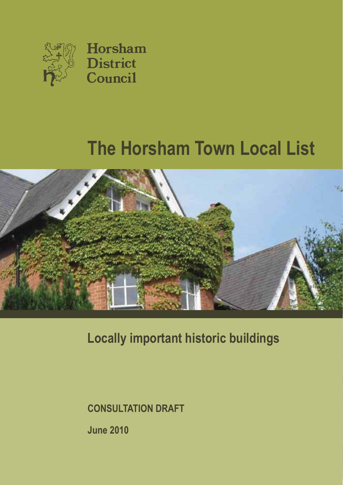

Horsham **District** Council

# **The Horsham Town Local List**



**Locally important historic buildings**

**CONSULTATION DRAFT**

**June 2010**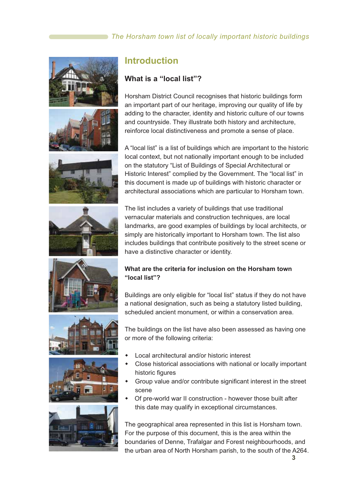















# **Introduction**

# **What is a "local list"?**

Horsham District Council recognises that historic buildings form an important part of our heritage, improving our quality of life by adding to the character, identity and historic culture of our towns and countryside. They illustrate both history and architecture, reinforce local distinctiveness and promote a sense of place.

A "local list" is a list of buildings which are important to the historic local context, but not nationally important enough to be included on the statutory "List of Buildings of Special Architectural or Historic Interest" complied by the Government. The "local list" in this document is made up of buildings with historic character or architectural associations which are particular to Horsham town.

The list includes a variety of buildings that use traditional vernacular materials and construction techniques, are local landmarks, are good examples of buildings by local architects, or simply are historically important to Horsham town. The list also includes buildings that contribute positively to the street scene or have a distinctive character or identity.

# **What are the criteria for inclusion on the Horsham town "local list"?**

Buildings are only eligible for "local list" status if they do not have a national designation, such as being a statutory listed building, scheduled ancient monument, or within a conservation area.

The buildings on the list have also been assessed as having one or more of the following criteria:

- $\ddot{\bullet}$ Local architectural and/or historic interest
- $\ddot{\bullet}$ Close historical associations with national or locally important historic figures
- $\ddot{\bullet}$ Group value and/or contribute significant interest in the street scene
- $\ddot{\bullet}$ Of pre-world war II construction - however those built after this date may qualify in exceptional circumstances.

The geographical area represented in this list is Horsham town. For the purpose of this document, this is the area within the boundaries of Denne, Trafalgar and Forest neighbourhoods, and the urban area of North Horsham parish, to the south of the A264.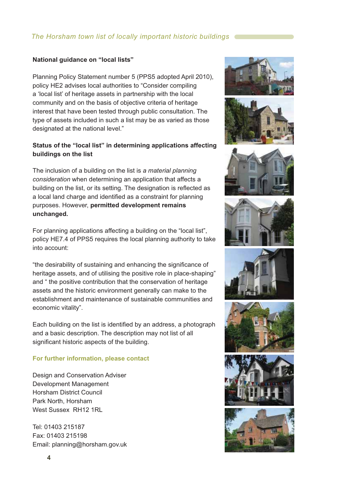#### **National guidance on "local lists"**

Planning Policy Statement number 5 (PPS5 adopted April 2010), policy HE2 advises local authorities to "Consider compiling a 'local list' of heritage assets in partnership with the local community and on the basis of objective criteria of heritage interest that have been tested through public consultation. The type of assets included in such a list may be as varied as those designated at the national level."

# **Status of the "local list" in determining applications affecting buildings on the list**

The inclusion of a building on the list is *a material planning consideration* when determining an application that affects a building on the list, or its setting. The designation is reflected as a local land charge and identified as a constraint for planning purposes. However, **permitted development remains unchanged.** 

For planning applications affecting a building on the "local list", policy HE7.4 of PPS5 requires the local planning authority to take into account:

"the desirability of sustaining and enhancing the significance of heritage assets, and of utilising the positive role in place-shaping" and " the positive contribution that the conservation of heritage assets and the historic environment generally can make to the establishment and maintenance of sustainable communities and economic vitality".

Each building on the list is identified by an address, a photograph and a basic description. The description may not list of all significant historic aspects of the building.

#### **For further information, please contact**

Design and Conservation Adviser Development Management Horsham District Council Park North, Horsham West Sussex RH12 1RL

Tel: 01403 215187 Fax: 01403 215198 Email: planning@horsham.gov.uk















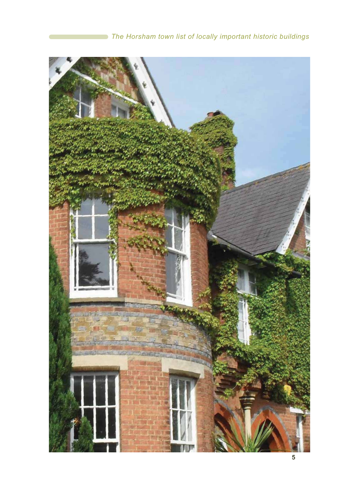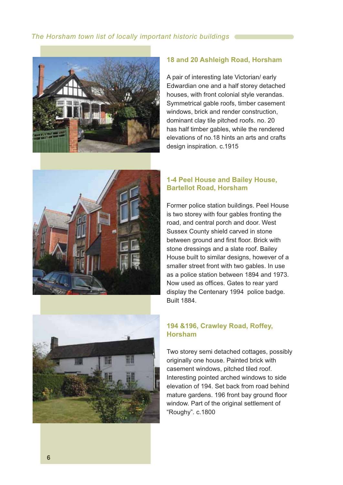

#### **18 and 20 Ashleigh Road, Horsham**

A pair of interesting late Victorian/ early Edwardian one and a half storey detached houses, with front colonial style verandas. Symmetrical gable roofs, timber casement windows, brick and render construction, dominant clay tile pitched roofs. no. 20 has half timber gables, while the rendered elevations of no.18 hints an arts and crafts design inspiration. c.1915



#### **1-4 Peel House and Bailey House, Bartellot Road, Horsham**

Former police station buildings. Peel House is two storey with four gables fronting the road, and central porch and door. West Sussex County shield carved in stone between ground and first floor. Brick with stone dressings and a slate roof. Bailey House built to similar designs, however of a smaller street front with two gables. In use as a police station between 1894 and 1973. Now used as offices. Gates to rear yard display the Centenary 1994 police badge. Built 1884.



# **194 &196, Crawley Road, Roffey, Horsham**

Two storey semi detached cottages, possibly originally one house. Painted brick with casement windows, pitched tiled roof. Interesting pointed arched windows to side elevation of 194. Set back from road behind mature gardens. 196 front bay ground floor window. Part of the original settlement of "Roughy". c.1800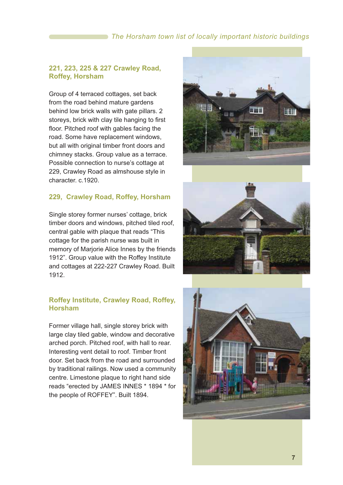#### **221, 223, 225 & 227 Crawley Road, Roffey, Horsham**

Group of 4 terraced cottages, set back from the road behind mature gardens behind low brick walls with gate pillars. 2 storeys, brick with clay tile hanging to first floor. Pitched roof with gables facing the road. Some have replacement windows, but all with original timber front doors and chimney stacks. Group value as a terrace. Possible connection to nurse's cottage at 229, Crawley Road as almshouse style in character. c.1920.

#### **229, Crawley Road, Roffey, Horsham**

Single storey former nurses' cottage, brick timber doors and windows, pitched tiled roof, central gable with plaque that reads "This cottage for the parish nurse was built in memory of Marjorie Alice Innes by the friends 1912". Group value with the Roffey Institute and cottages at 222-227 Crawley Road. Built 1912.

# **Roffey Institute, Crawley Road, Roffey, Horsham**

Former village hall, single storey brick with large clay tiled gable, window and decorative arched porch. Pitched roof, with hall to rear. Interesting vent detail to roof. Timber front door. Set back from the road and surrounded by traditional railings. Now used a community centre. Limestone plaque to right hand side reads "erected by JAMES INNES \* 1894 \* for the people of ROFFEY". Built 1894.





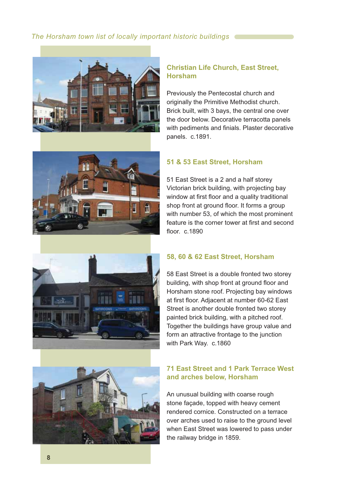



# **Christian Life Church, East Street, Horsham**

Previously the Pentecostal church and originally the Primitive Methodist church. Brick built, with 3 bays, the central one over the door below. Decorative terracotta panels with pediments and finials. Plaster decorative panels. c.1891.

#### **51 & 53 East Street, Horsham**

51 East Street is a 2 and a half storey Victorian brick building, with projecting bay window at first floor and a quality traditional shop front at ground floor. It forms a group with number 53, of which the most prominent feature is the corner tower at first and second floor. c.1890



#### **58, 60 & 62 East Street, Horsham**

58 East Street is a double fronted two storey building, with shop front at ground floor and Horsham stone roof. Projecting bay windows at first floor. Adjacent at number 60-62 East Street is another double fronted two storey painted brick building, with a pitched roof. Together the buildings have group value and form an attractive frontage to the junction with Park Way. c.1860

# **71 East Street and 1 Park Terrace West and arches below, Horsham**

An unusual building with coarse rough stone façade, topped with heavy cement rendered cornice. Constructed on a terrace over arches used to raise to the ground level when East Street was lowered to pass under the railway bridge in 1859.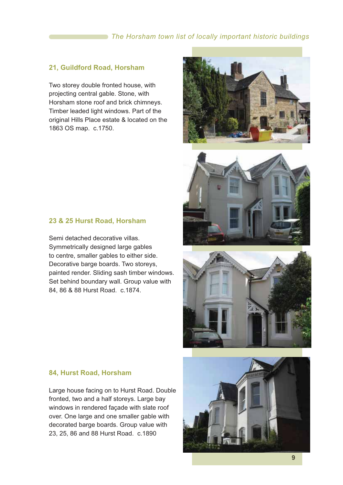### **21, Guildford Road, Horsham**

Two storey double fronted house, with projecting central gable. Stone, with Horsham stone roof and brick chimneys. Timber leaded light windows. Part of the original Hills Place estate & located on the 1863 OS map. c.1750.





#### **23 & 25 Hurst Road, Horsham**

Semi detached decorative villas. Symmetrically designed large gables to centre, smaller gables to either side. Decorative barge boards. Two storeys, painted render. Sliding sash timber windows. Set behind boundary wall. Group value with 84, 86 & 88 Hurst Road. c.1874.



#### **84, Hurst Road, Horsham**

Large house facing on to Hurst Road. Double fronted, two and a half storeys. Large bay windows in rendered façade with slate roof over. One large and one smaller gable with decorated barge boards. Group value with 23, 25, 86 and 88 Hurst Road. c.1890

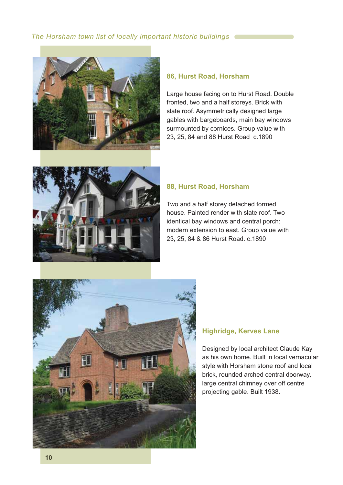

#### **86, Hurst Road, Horsham**

Large house facing on to Hurst Road. Double fronted, two and a half storeys. Brick with slate roof. Asymmetrically designed large gables with bargeboards, main bay windows surmounted by cornices. Group value with 23, 25, 84 and 88 Hurst Road c.1890



#### **88, Hurst Road, Horsham**

Two and a half storey detached formed house. Painted render with slate roof. Two identical bay windows and central porch: modern extension to east. Group value with 23, 25, 84 & 86 Hurst Road. c.1890



# **Highridge, Kerves Lane**

Designed by local architect Claude Kay as his own home. Built in local vernacular style with Horsham stone roof and local brick, rounded arched central doorway, large central chimney over off centre projecting gable. Built 1938.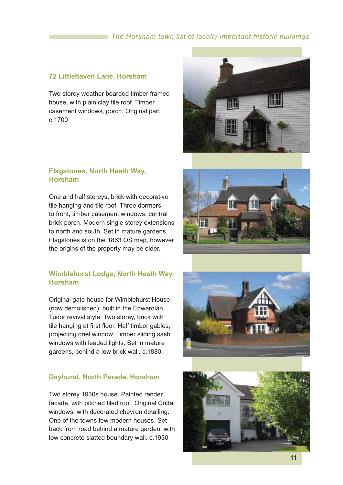#### **72 Littlehaven Lane, Horsham**

Two storey weather boarded timber framed house, with plain clay tile roof. Timber casement windows, porch. Original part c.1700

#### **Flagstones, North Heath Way, Horsham**

One and half storeys, brick with decorative tile hanging and tile roof. Three dormers to front, timber casement windows, central brick porch. Modern single storey extensions to north and south. Set in mature gardens. Flagstones is on the 1863 OS map, however the origins of the property may be older.

#### **Wimblehurst Lodge, North Heath Way, Horsham**

Original gate house for Wimblehurst House (now demolished), built in the Edwardian Tudor revival style. Two storey, brick with tile hanging at first floor. Half timber gables, projecting oriel window. Timber sliding sash windows with leaded lights. Set in mature gardens, behind a low brick wall. c.1880.

#### **Dayhurst, North Parade, Horsham**

Two storey 1930s house. Painted render facade, with pitched tiled roof. Original Crittal windows, with decorated chevron detailing. One of the towns few modern houses. Set back from road behind a mature garden, with low concrete slatted boundary wall. c.1930







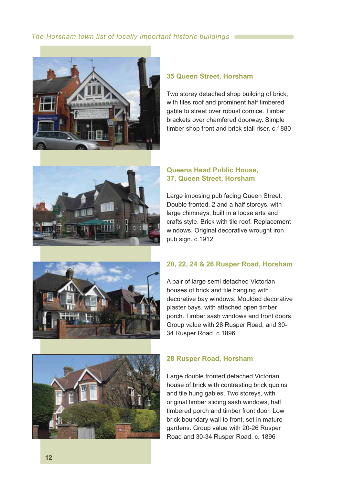

#### **35 Queen Street, Horsham**

Two storey detached shop building of brick, with tiles roof and prominent half timbered gable to street over robust cornice. Timber brackets over chamfered doorway. Simple timber shop front and brick stall riser. c.1880



#### **Queens Head Public House, 37, Queen Street, Horsham**

Large imposing pub facing Queen Street. Double fronted, 2 and a half storeys, with large chimneys, built in a loose arts and crafts style. Brick with tile roof. Replacement windows. Original decorative wrought iron pub sign. c.1912



#### **20, 22, 24 & 26 Rusper Road, Horsham**

A pair of large semi detached Victorian houses of brick and tile hanging with decorative bay windows. Moulded decorative plaster bays, with attached open timber porch. Timber sash windows and front doors. Group value with 28 Rusper Road, and 30- 34 Rusper Road. c.1896



#### **28 Rusper Road, Horsham**

Large double fronted detached Victorian house of brick with contrasting brick quoins and tile hung gables. Two storeys, with original timber sliding sash windows, half timbered porch and timber front door. Low brick boundary wall to front, set in mature gardens. Group value with 20-26 Rusper Road and 30-34 Rusper Road. c. 1896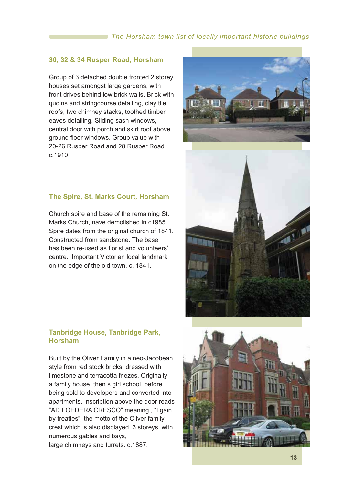#### **30, 32 & 34 Rusper Road, Horsham**

Group of 3 detached double fronted 2 storey houses set amongst large gardens, with front drives behind low brick walls. Brick with quoins and stringcourse detailing, clay tile roofs, two chimney stacks, toothed timber eaves detailing. Sliding sash windows, central door with porch and skirt roof above ground floor windows. Group value with 20-26 Rusper Road and 28 Rusper Road. c.1910



#### **The Spire, St. Marks Court, Horsham**

Church spire and base of the remaining St. Marks Church, nave demolished in c1985. Spire dates from the original church of 1841. Constructed from sandstone. The base has been re-used as florist and volunteers' centre. Important Victorian local landmark on the edge of the old town. c. 1841.

# **Tanbridge House, Tanbridge Park, Horsham**

Built by the Oliver Family in a neo-Jacobean style from red stock bricks, dressed with limestone and terracotta friezes. Originally a family house, then s girl school, before being sold to developers and converted into apartments. Inscription above the door reads "AD FOEDERA CRESCO" meaning , "I gain by treaties", the motto of the Oliver family crest which is also displayed. 3 storeys, with numerous gables and bays, large chimneys and turrets. c.1887.



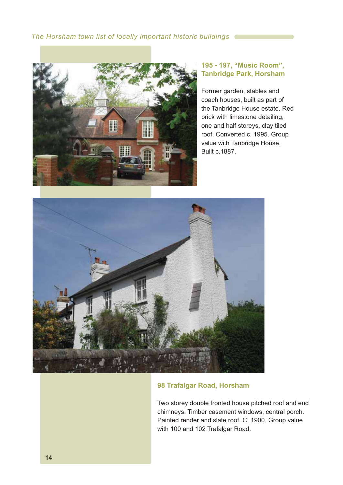

# **195 - 197, "Music Room", Tanbridge Park, Horsham**

Former garden, stables and coach houses, built as part of the Tanbridge House estate. Red brick with limestone detailing, one and half storeys, clay tiled roof. Converted c. 1995. Group value with Tanbridge House. Built c.1887.



# **98 Trafalgar Road, Horsham**

Two storey double fronted house pitched roof and end chimneys. Timber casement windows, central porch. Painted render and slate roof. C. 1900. Group value with 100 and 102 Trafalgar Road.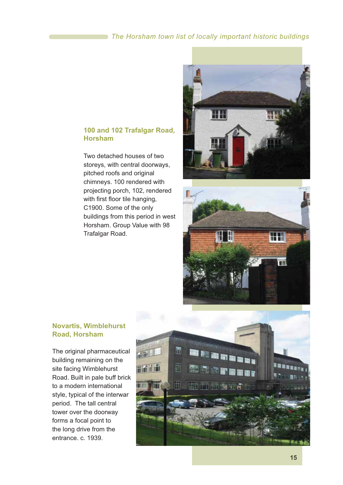#### **100 and 102 Trafalgar Road, Horsham**

Two detached houses of two storeys, with central doorways, pitched roofs and original chimneys. 100 rendered with projecting porch, 102, rendered with first floor tile hanging, C1900. Some of the only buildings from this period in west Horsham. Group Value with 98 Trafalgar Road.





#### **Novartis, Wimblehurst Road, Horsham**

The original pharmaceutical building remaining on the site facing Wimblehurst Road. Built in pale buff brick to a modern international style, typical of the interwar period. The tall central tower over the doorway forms a focal point to the long drive from the entrance. c. 1939.